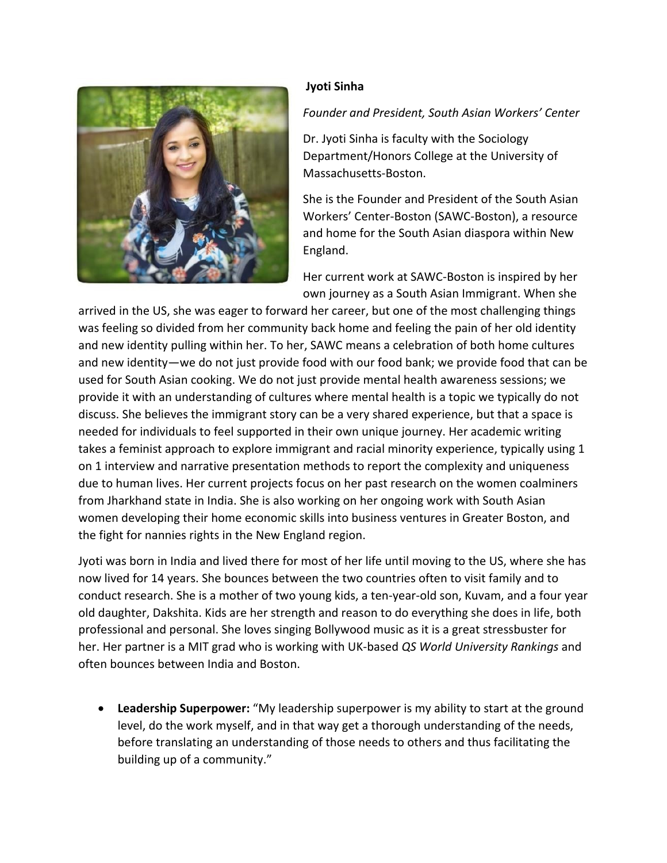

## **Jyoti Sinha**

*Founder and President, South Asian Workers' Center*

Dr. Jyoti Sinha is faculty with the Sociology Department/Honors College at the University of Massachusetts-Boston.

She is the Founder and President of the South Asian Workers' Center-Boston (SAWC-Boston), a resource and home for the South Asian diaspora within New England.

Her current work at SAWC-Boston is inspired by her own journey as a South Asian Immigrant. When she

arrived in the US, she was eager to forward her career, but one of the most challenging things was feeling so divided from her community back home and feeling the pain of her old identity and new identity pulling within her. To her, SAWC means a celebration of both home cultures and new identity—we do not just provide food with our food bank; we provide food that can be used for South Asian cooking. We do not just provide mental health awareness sessions; we provide it with an understanding of cultures where mental health is a topic we typically do not discuss. She believes the immigrant story can be a very shared experience, but that a space is needed for individuals to feel supported in their own unique journey. Her academic writing takes a feminist approach to explore immigrant and racial minority experience, typically using 1 on 1 interview and narrative presentation methods to report the complexity and uniqueness due to human lives. Her current projects focus on her past research on the women coalminers from Jharkhand state in India. She is also working on her ongoing work with South Asian women developing their home economic skills into business ventures in Greater Boston, and the fight for nannies rights in the New England region.

Jyoti was born in India and lived there for most of her life until moving to the US, where she has now lived for 14 years. She bounces between the two countries often to visit family and to conduct research. She is a mother of two young kids, a ten-year-old son, Kuvam, and a four year old daughter, Dakshita. Kids are her strength and reason to do everything she does in life, both professional and personal. She loves singing Bollywood music as it is a great stressbuster for her. Her partner is a MIT grad who is working with UK-based *QS World University Rankings* and often bounces between India and Boston.

• **Leadership Superpower:** "My leadership superpower is my ability to start at the ground level, do the work myself, and in that way get a thorough understanding of the needs, before translating an understanding of those needs to others and thus facilitating the building up of a community."